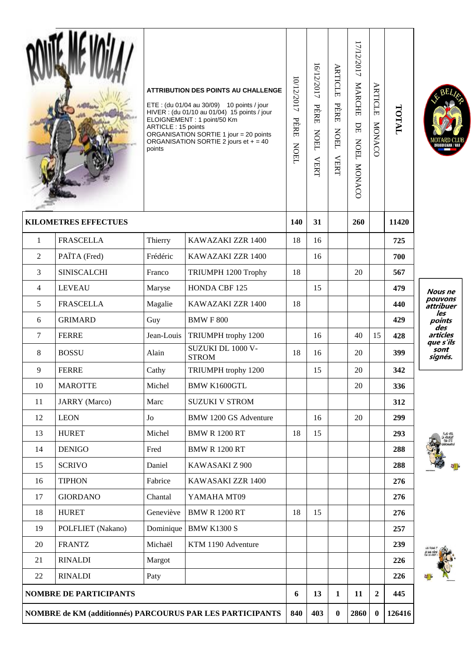|                                                                  |                             | ARTICLE: 15 points<br>points | <b>ATTRIBUTION DES POINTS AU CHALLENGE</b><br>ETE: (du 01/04 au 30/09) 10 points / jour<br>HIVER : (du 01/10 au 01/04) 15 points / jour<br>ELOIGNEMENT: 1 point/50 Km<br>ORGANISATION SORTIE 1 jour = 20 points<br>ORGANISATION SORTIE 2 jours et $+ = 40$ | 10/12/2017<br>PÈRE<br><b>NOEL</b> | 16/12/2017<br>PÈRE<br><b>NOEL</b><br><b>VERT</b> | <b>ARTICLE</b><br>PÈRE<br><b>NOEL</b><br><b>VERT</b> | 17/12/2017<br>MARCHE<br>$\rm{DE}$<br><b>NOEL</b><br>MONACO | <b>ARTICLE</b><br>MONACC | TATOT  |                |
|------------------------------------------------------------------|-----------------------------|------------------------------|------------------------------------------------------------------------------------------------------------------------------------------------------------------------------------------------------------------------------------------------------------|-----------------------------------|--------------------------------------------------|------------------------------------------------------|------------------------------------------------------------|--------------------------|--------|----------------|
|                                                                  | <b>KILOMETRES EFFECTUES</b> |                              |                                                                                                                                                                                                                                                            | 140                               | 31                                               |                                                      | 260                                                        |                          | 11420  |                |
| 1                                                                | <b>FRASCELLA</b>            | Thierry                      | KAWAZAKI ZZR 1400                                                                                                                                                                                                                                          | 18                                | 16                                               |                                                      |                                                            |                          | 725    |                |
| 2                                                                | PAÏTA (Fred)                | Frédéric                     | KAWAZAKI ZZR 1400                                                                                                                                                                                                                                          |                                   | 16                                               |                                                      |                                                            |                          | 700    |                |
| 3                                                                | <b>SINISCALCHI</b>          | Franco                       | TRIUMPH 1200 Trophy                                                                                                                                                                                                                                        | 18                                |                                                  |                                                      | 20                                                         |                          | 567    |                |
| $\overline{4}$                                                   | <b>LEVEAU</b>               | Maryse                       | HONDA CBF 125                                                                                                                                                                                                                                              |                                   | 15                                               |                                                      |                                                            |                          | 479    |                |
| 5                                                                | <b>FRASCELLA</b>            | Magalie                      | KAWAZAKI ZZR 1400                                                                                                                                                                                                                                          | 18                                |                                                  |                                                      |                                                            |                          | 440    |                |
| 6                                                                | <b>GRIMARD</b>              | Guy                          | <b>BMWF800</b>                                                                                                                                                                                                                                             |                                   |                                                  |                                                      |                                                            |                          | 429    |                |
| $\tau$                                                           | <b>FERRE</b>                | Jean-Louis                   | TRIUMPH trophy 1200                                                                                                                                                                                                                                        |                                   | 16                                               |                                                      | 40                                                         | 15                       | 428    |                |
| 8                                                                | <b>BOSSU</b>                | Alain                        | SUZUKI DL 1000 V-<br><b>STROM</b>                                                                                                                                                                                                                          | 18                                | 16                                               |                                                      | 20                                                         |                          | 399    |                |
| 9                                                                | <b>FERRE</b>                | Cathy                        | TRIUMPH trophy 1200                                                                                                                                                                                                                                        |                                   | 15                                               |                                                      | 20                                                         |                          | 342    |                |
| 10                                                               | <b>MAROTTE</b>              | Michel                       | <b>BMW K1600GTL</b>                                                                                                                                                                                                                                        |                                   |                                                  |                                                      | 20                                                         |                          | 336    |                |
| 11                                                               | <b>JARRY</b> (Marco)        | Marc                         | <b>SUZUKI V STROM</b>                                                                                                                                                                                                                                      |                                   |                                                  |                                                      |                                                            |                          | 312    |                |
| 12                                                               | <b>LEON</b>                 | ${\rm Jo}$                   | <b>BMW 1200 GS Adventure</b>                                                                                                                                                                                                                               |                                   | 16                                               |                                                      | 20                                                         |                          | 299    |                |
| 13                                                               | <b>HURET</b>                | Michel                       | <b>BMW R 1200 RT</b>                                                                                                                                                                                                                                       | 18                                | 15                                               |                                                      |                                                            |                          | 293    |                |
| 14                                                               | <b>DENIGO</b>               | Fred                         | <b>BMW R 1200 RT</b>                                                                                                                                                                                                                                       |                                   |                                                  |                                                      |                                                            |                          | 288    | $\sim$         |
| 15                                                               | <b>SCRIVO</b>               | Daniel                       | KAWASAKI Z 900                                                                                                                                                                                                                                             |                                   |                                                  |                                                      |                                                            |                          | 288    | $\overline{a}$ |
| 16                                                               | <b>TIPHON</b>               | Fabrice                      | KAWASAKI ZZR 1400                                                                                                                                                                                                                                          |                                   |                                                  |                                                      |                                                            |                          | 276    |                |
| 17                                                               | <b>GIORDANO</b>             | Chantal                      | YAMAHA MT09                                                                                                                                                                                                                                                |                                   |                                                  |                                                      |                                                            |                          | 276    |                |
| 18                                                               | <b>HURET</b>                | Geneviève                    | <b>BMW R 1200 RT</b>                                                                                                                                                                                                                                       | 18                                | 15                                               |                                                      |                                                            |                          | 276    |                |
| 19                                                               | POLFLIET (Nakano)           | Dominique                    | <b>BMW K1300 S</b>                                                                                                                                                                                                                                         |                                   |                                                  |                                                      |                                                            |                          | 257    |                |
| 20                                                               | <b>FRANTZ</b>               | Michaël                      | KTM 1190 Adventure                                                                                                                                                                                                                                         |                                   |                                                  |                                                      |                                                            |                          | 239    |                |
| 21                                                               | <b>RINALDI</b>              | Margot                       |                                                                                                                                                                                                                                                            |                                   |                                                  |                                                      |                                                            |                          | 226    | 深信 短           |
| 22                                                               | <b>RINALDI</b>              | Paty                         |                                                                                                                                                                                                                                                            |                                   |                                                  |                                                      |                                                            |                          | 226    | ų              |
| <b>NOMBRE DE PARTICIPANTS</b>                                    |                             |                              |                                                                                                                                                                                                                                                            |                                   | 13                                               | 1                                                    | 11                                                         | $\overline{2}$           | 445    |                |
| <b>NOMBRE de KM (additionnés) PARCOURUS PAR LES PARTICIPANTS</b> |                             |                              |                                                                                                                                                                                                                                                            |                                   | 403                                              | $\bf{0}$                                             | 2860                                                       | $\bf{0}$                 | 126416 |                |

EBEL

*Nous ne<br>pouvons<br>attribuer<br>les<br>points<br>des sils<br>que s'ils<br>sont<br>signés.* 

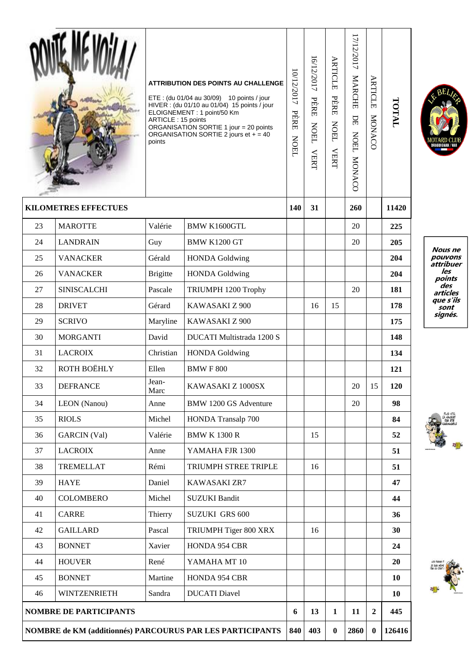|                                                           |                     | ARTICLE: 15 points<br>points | <b>ATTRIBUTION DES POINTS AU CHALLENGE</b><br>ETE: (du 01/04 au 30/09) 10 points / jour<br>HIVER : (du 01/10 au 01/04) 15 points / jour<br>ELOIGNEMENT: 1 point/50 Km<br>ORGANISATION SORTIE 1 jour = 20 points<br>ORGANISATION SORTIE 2 jours et $+ = 40$ | 0/12/2017<br>PÈRE<br><b>NOEL</b> | 6/12/2017<br>PÈRE<br><b>NOEL</b><br><b>VERT</b> | ARTICLE<br>PÈRE<br><b>NOEL</b><br><b>VERT</b> | 17/12/2017<br><b>MARCHE</b><br>$\rm{DE}$<br><b>NOEL</b><br>MONACO | ARTICLE<br>MONACO | TOTAL  |         |  |  |
|-----------------------------------------------------------|---------------------|------------------------------|------------------------------------------------------------------------------------------------------------------------------------------------------------------------------------------------------------------------------------------------------------|----------------------------------|-------------------------------------------------|-----------------------------------------------|-------------------------------------------------------------------|-------------------|--------|---------|--|--|
| <b>KILOMETRES EFFECTUES</b>                               |                     |                              |                                                                                                                                                                                                                                                            | 140                              | 31                                              |                                               | 260                                                               |                   | 11420  |         |  |  |
| 23                                                        | <b>MAROTTE</b>      | Valérie                      | <b>BMW K1600GTL</b>                                                                                                                                                                                                                                        |                                  |                                                 |                                               | 20                                                                |                   | 225    |         |  |  |
| 24                                                        | <b>LANDRAIN</b>     | Guy                          | <b>BMW K1200 GT</b>                                                                                                                                                                                                                                        |                                  |                                                 |                                               | 20                                                                |                   | 205    |         |  |  |
| 25                                                        | <b>VANACKER</b>     | Gérald                       | <b>HONDA Goldwing</b>                                                                                                                                                                                                                                      |                                  |                                                 |                                               |                                                                   |                   | 204    | ŀ       |  |  |
| 26                                                        | <b>VANACKER</b>     | <b>Brigitte</b>              | <b>HONDA Goldwing</b>                                                                                                                                                                                                                                      |                                  |                                                 |                                               |                                                                   |                   | 204    |         |  |  |
| 27                                                        | <b>SINISCALCHI</b>  | Pascale                      | TRIUMPH 1200 Trophy                                                                                                                                                                                                                                        |                                  |                                                 |                                               | 20                                                                |                   | 181    |         |  |  |
| 28                                                        | <b>DRIVET</b>       | Gérard                       | KAWASAKI Z 900                                                                                                                                                                                                                                             |                                  | 16                                              | 15                                            |                                                                   |                   | 178    |         |  |  |
| 29                                                        | <b>SCRIVO</b>       | Maryline                     | KAWASAKI Z 900                                                                                                                                                                                                                                             |                                  |                                                 |                                               |                                                                   |                   | 175    |         |  |  |
| 30                                                        | <b>MORGANTI</b>     | David                        | DUCATI Multistrada 1200 S                                                                                                                                                                                                                                  |                                  |                                                 |                                               |                                                                   |                   | 148    |         |  |  |
| 31                                                        | <b>LACROIX</b>      | Christian                    | <b>HONDA</b> Goldwing                                                                                                                                                                                                                                      |                                  |                                                 |                                               |                                                                   |                   | 134    |         |  |  |
| 32                                                        | ROTH BOËHLY         | Ellen                        | <b>BMWF800</b>                                                                                                                                                                                                                                             |                                  |                                                 |                                               |                                                                   |                   | 121    |         |  |  |
| 33                                                        | <b>DEFRANCE</b>     | Jean-<br>Marc                | KAWASAKI Z 1000SX                                                                                                                                                                                                                                          |                                  |                                                 |                                               | 20                                                                | 15                | 120    |         |  |  |
| 34                                                        | LEON (Nanou)        | Anne                         | <b>BMW 1200 GS Adventure</b>                                                                                                                                                                                                                               |                                  |                                                 |                                               | 20                                                                |                   | 98     |         |  |  |
| 35                                                        | <b>RIOLS</b>        | Michel                       | HONDA Transalp 700                                                                                                                                                                                                                                         |                                  |                                                 |                                               |                                                                   |                   | 84     |         |  |  |
| 36                                                        | <b>GARCIN</b> (Val) | Valérie                      | <b>BMW K 1300 R</b>                                                                                                                                                                                                                                        |                                  | 15                                              |                                               |                                                                   |                   | 52     | T. Part |  |  |
| 37                                                        | <b>LACROIX</b>      | Anne                         | YAMAHA FJR 1300                                                                                                                                                                                                                                            |                                  |                                                 |                                               |                                                                   |                   | 51     |         |  |  |
| 38                                                        | <b>TREMELLAT</b>    | Rémi                         | TRIUMPH STREE TRIPLE                                                                                                                                                                                                                                       |                                  | 16                                              |                                               |                                                                   |                   | 51     |         |  |  |
| 39                                                        | <b>HAYE</b>         | Daniel                       | KAWASAKI ZR7                                                                                                                                                                                                                                               |                                  |                                                 |                                               |                                                                   |                   | 47     |         |  |  |
| 40                                                        | <b>COLOMBERO</b>    | Michel                       | <b>SUZUKI Bandit</b>                                                                                                                                                                                                                                       |                                  |                                                 |                                               |                                                                   |                   | 44     |         |  |  |
| 41                                                        | <b>CARRE</b>        | Thierry                      | <b>SUZUKI GRS 600</b>                                                                                                                                                                                                                                      |                                  |                                                 |                                               |                                                                   |                   | 36     |         |  |  |
| 42                                                        | <b>GAILLARD</b>     | Pascal                       | TRIUMPH Tiger 800 XRX                                                                                                                                                                                                                                      |                                  | 16                                              |                                               |                                                                   |                   | 30     |         |  |  |
| 43                                                        | <b>BONNET</b>       | Xavier                       | HONDA 954 CBR                                                                                                                                                                                                                                              |                                  |                                                 |                                               |                                                                   |                   | 24     |         |  |  |
| 44                                                        | <b>HOUVER</b>       | René                         | YAMAHA MT 10                                                                                                                                                                                                                                               |                                  |                                                 |                                               |                                                                   |                   | 20     | 深管 尼    |  |  |
| 45                                                        | <b>BONNET</b>       | Martine                      | HONDA 954 CBR                                                                                                                                                                                                                                              |                                  |                                                 |                                               |                                                                   |                   | 10     |         |  |  |
| 46                                                        | <b>WINTZENRIETH</b> | Sandra                       | <b>DUCATI</b> Diavel                                                                                                                                                                                                                                       |                                  |                                                 |                                               |                                                                   |                   | 10     | Ą       |  |  |
| <b>NOMBRE DE PARTICIPANTS</b>                             |                     |                              |                                                                                                                                                                                                                                                            |                                  | 13                                              | $\mathbf{1}$                                  | 11                                                                | $\overline{2}$    | 445    |         |  |  |
| NOMBRE de KM (additionnés) PARCOURUS PAR LES PARTICIPANTS |                     |                              |                                                                                                                                                                                                                                                            |                                  | 403                                             | $\bf{0}$                                      | 2860                                                              | $\bf{0}$          | 126416 |         |  |  |



*Nous ne<br>pouvons<br>attribuer<br>les<br>points<br>des articles<br>que s'ils<br>sont<br>signés.*